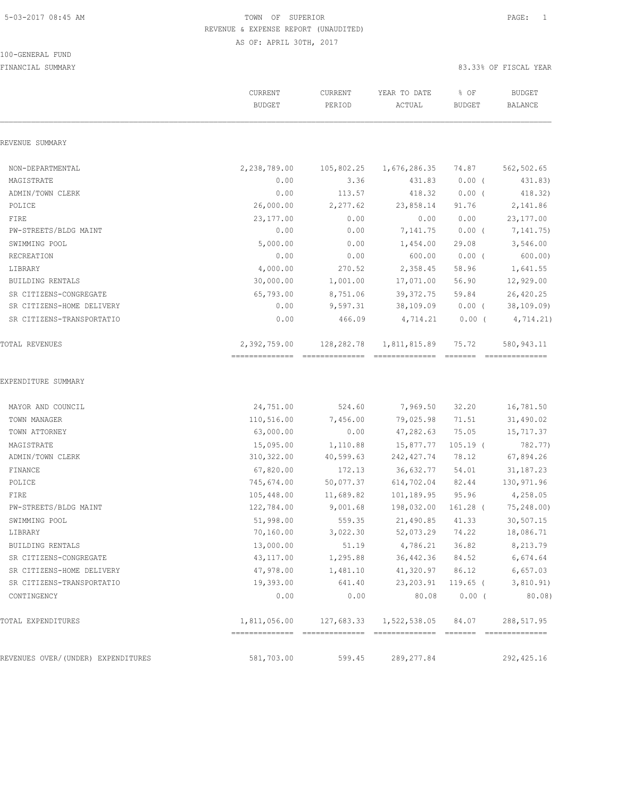#### 100-GENERAL FUND

|                                    | CURRENT<br><b>BUDGET</b>       | CURRENT<br>PERIOD | YEAR TO DATE<br>ACTUAL | % OF<br><b>BUDGET</b>    | <b>BUDGET</b><br>BALANCE      |
|------------------------------------|--------------------------------|-------------------|------------------------|--------------------------|-------------------------------|
| REVENUE SUMMARY                    |                                |                   |                        |                          |                               |
| NON-DEPARTMENTAL                   | 2,238,789.00                   | 105,802.25        | 1,676,286.35           | 74.87                    | 562,502.65                    |
| MAGISTRATE                         | 0.00                           | 3.36              | 431.83                 | $0.00$ (                 | 431.83)                       |
| ADMIN/TOWN CLERK                   | 0.00                           | 113.57            | 418.32                 | $0.00$ (                 | 418.32)                       |
| POLICE                             | 26,000.00                      | 2,277.62          | 23,858.14              | 91.76                    | 2,141.86                      |
| FIRE                               | 23,177.00                      | 0.00              | 0.00                   | 0.00                     | 23, 177.00                    |
| PW-STREETS/BLDG MAINT              | 0.00                           | 0.00              | 7,141.75               | $0.00$ (                 | 7,141.75)                     |
| SWIMMING POOL                      | 5,000.00                       | 0.00              | 1,454.00               | 29.08                    | 3,546.00                      |
| RECREATION                         | 0.00                           | 0.00              | 600.00                 | $0.00$ (                 | 600.00)                       |
| LIBRARY                            | 4,000.00                       | 270.52            | 2,358.45               | 58.96                    | 1,641.55                      |
| <b>BUILDING RENTALS</b>            | 30,000.00                      | 1,001.00          | 17,071.00              | 56.90                    | 12,929.00                     |
| SR CITIZENS-CONGREGATE             | 65,793.00                      | 8,751.06          | 39, 372.75             | 59.84                    | 26,420.25                     |
| SR CITIZENS-HOME DELIVERY          | 0.00                           | 9,597.31          | 38,109.09              | $0.00$ (                 | 38, 109.09)                   |
| SR CITIZENS-TRANSPORTATIO          | 0.00                           | 466.09            | 4,714.21               | $0.00$ (                 | 4,714.21)                     |
| TOTAL REVENUES                     | 2,392,759.00<br>============== | 128,282.78        | 1,811,815.89           | 75.72<br>$=$ = = = = = = | 580,943.11<br>--------------- |
| EXPENDITURE SUMMARY                |                                |                   |                        |                          |                               |
| MAYOR AND COUNCIL                  | 24,751.00                      | 524.60            | 7,969.50               | 32.20                    | 16,781.50                     |
| TOWN MANAGER                       | 110,516.00                     | 7,456.00          | 79,025.98              | 71.51                    | 31,490.02                     |
| TOWN ATTORNEY                      | 63,000.00                      | 0.00              | 47,282.63              | 75.05                    | 15,717.37                     |
| MAGISTRATE                         | 15,095.00                      | 1,110.88          | 15,877.77              | $105.19$ (               | 782.77)                       |
| ADMIN/TOWN CLERK                   | 310, 322.00                    | 40,599.63         | 242, 427.74            | 78.12                    | 67,894.26                     |
| FINANCE                            | 67,820.00                      | 172.13            | 36,632.77              | 54.01                    | 31, 187. 23                   |
| POLICE                             | 745,674.00                     | 50,077.37         | 614,702.04             | 82.44                    | 130,971.96                    |
| FIRE                               | 105,448.00                     | 11,689.82         | 101,189.95             | 95.96                    | 4,258.05                      |
| PW-STREETS/BLDG MAINT              | 122,784.00                     | 9,001.68          | 198,032.00             | 161.28 (                 | 75,248.00)                    |
| SWIMMING POOL                      | 51,998.00                      | 559.35            | 21,490.85              | 41.33                    | 30,507.15                     |
| LIBRARY                            | 70,160.00                      | 3,022.30          | 52,073.29              | 74.22                    | 18,086.71                     |
| BUILDING RENTALS                   | 13,000.00                      | 51.19             | 4,786.21               | 36.82                    | 8,213.79                      |
| SR CITIZENS-CONGREGATE             | 43, 117.00                     | 1,295.88          | 36, 442.36             | 84.52                    | 6,674.64                      |
| SR CITIZENS-HOME DELIVERY          | 47,978.00                      | 1,481.10          | 41,320.97              | 86.12                    | 6,657.03                      |
| SR CITIZENS-TRANSPORTATIO          | 19,393.00                      | 641.40            | 23, 203.91             | $119.65$ (               | 3,810.91)                     |
| CONTINGENCY                        | 0.00                           | 0.00              | 80.08                  | $0.00$ (                 | 80.08)                        |
| TOTAL EXPENDITURES                 | 1,811,056.00                   | 127,683.33        | 1,522,538.05           | 84.07                    | 288, 517.95                   |
|                                    | 581,703.00                     |                   |                        |                          |                               |
| REVENUES OVER/(UNDER) EXPENDITURES |                                | 599.45            | 289, 277.84            |                          | 292, 425.16                   |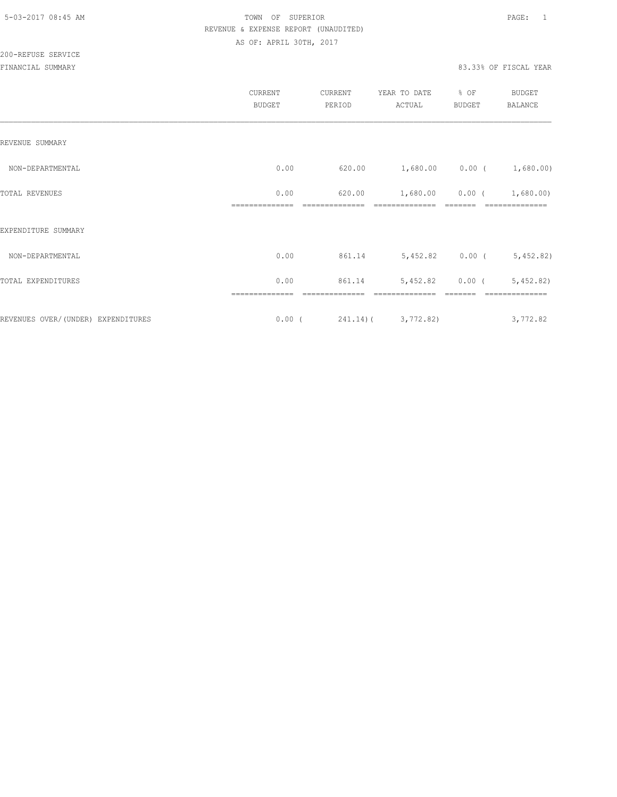|                                    | CURRENT<br><b>BUDGET</b> | CURRENT<br>PERIOD | YEAR TO DATE<br>ACTUAL             | % OF<br>BUDGET    | <b>BUDGET</b><br><b>BALANCE</b>  |
|------------------------------------|--------------------------|-------------------|------------------------------------|-------------------|----------------------------------|
| REVENUE SUMMARY                    |                          |                   |                                    |                   |                                  |
| NON-DEPARTMENTAL                   | 0.00                     |                   | $620.00$ 1,680.00 0.00 ( 1,680.00) |                   |                                  |
| TOTAL REVENUES                     | 0.00                     | 620.00            |                                    |                   | $1,680.00$ $0.00$ ( $1,680.00$ ) |
| EXPENDITURE SUMMARY                |                          |                   |                                    |                   |                                  |
| NON-DEPARTMENTAL                   | 0.00                     |                   | 861.14 5,452.82 0.00 (             |                   | 5,452.82)                        |
| TOTAL EXPENDITURES                 | 0.00                     | 861.14            |                                    | $5,452.82$ 0.00 ( | 5,452.82)                        |
|                                    |                          |                   |                                    |                   |                                  |
| REVENUES OVER/(UNDER) EXPENDITURES |                          |                   | $0.00$ ( $241.14$ ) ( $3,772.82$ ) |                   | 3,772.82                         |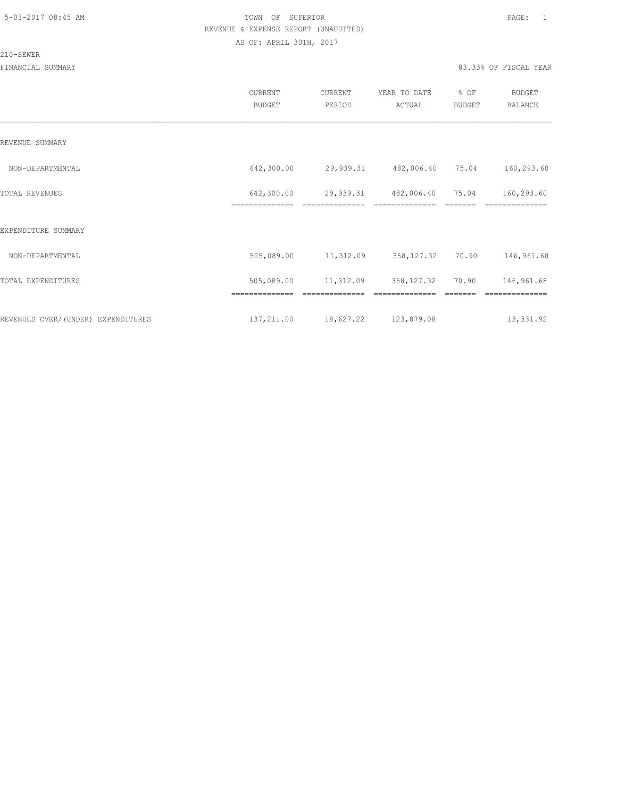#### 210-SEWER

|                                    | <b>CURRENT</b><br><b>BUDGET</b> | CURRENT<br>PERIOD | YEAR TO DATE<br>ACTUAL       | % OF<br><b>BUDGET</b> | <b>BUDGET</b><br><b>BALANCE</b> |
|------------------------------------|---------------------------------|-------------------|------------------------------|-----------------------|---------------------------------|
| REVENUE SUMMARY                    |                                 |                   |                              |                       |                                 |
| NON-DEPARTMENTAL                   | 642,300.00                      | 29,939.31         | 482,006.40 75.04             |                       | 160,293.60                      |
| TOTAL REVENUES                     | 642,300.00                      | 29,939.31         | 482,006.40<br>============== | 75.04                 | 160,293.60                      |
| EXPENDITURE SUMMARY                | ==============                  | ==============    |                              |                       | ==========                      |
| NON-DEPARTMENTAL                   | 505,089.00                      | 11,312.09         | 358, 127.32                  | 70.90                 | 146,961.68                      |
| TOTAL EXPENDITURES                 | 505,089.00                      | 11,312.09         | 358,127.32                   | 70.90                 | 146,961.68                      |
|                                    | ==============                  |                   |                              |                       |                                 |
| REVENUES OVER/(UNDER) EXPENDITURES | 137,211.00                      | 18,627.22         | 123,879.08                   |                       | 13,331.92                       |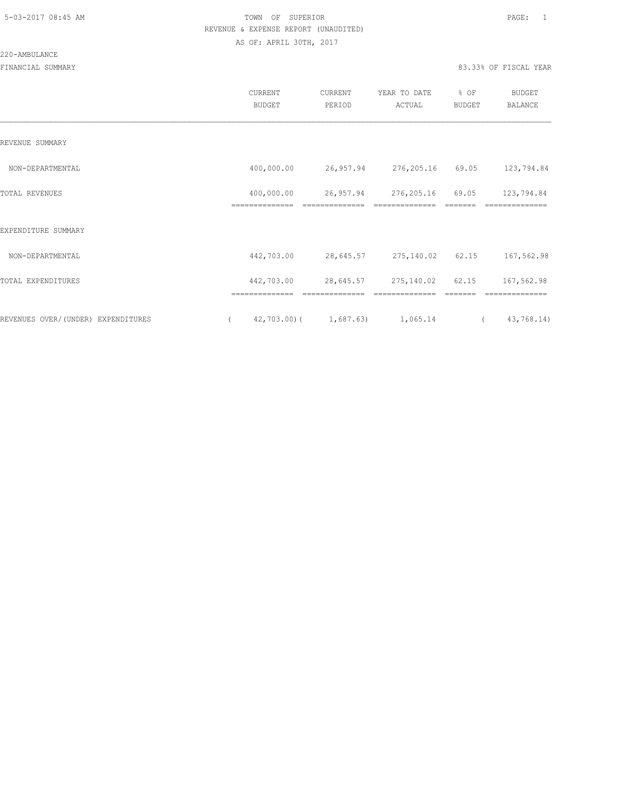220-AMBULANCE

|                                    | CURRENT<br><b>BUDGET</b>     | CURRENT<br>PERIOD           | YEAR TO DATE<br>ACTUAL       | $8$ OF<br><b>BUDGET</b> | <b>BUDGET</b><br><b>BALANCE</b> |
|------------------------------------|------------------------------|-----------------------------|------------------------------|-------------------------|---------------------------------|
| REVENUE SUMMARY                    |                              |                             |                              |                         |                                 |
| NON-DEPARTMENTAL                   | 400,000.00                   |                             | 26,957.94 276,205.16 69.05   |                         | 123,794.84                      |
| <b>TOTAL REVENUES</b>              | 400,000.00<br>============== | 26,957.94<br>============== | 276,205.16                   | 69.05                   | 123,794.84<br>==============    |
| EXPENDITURE SUMMARY                |                              |                             |                              |                         |                                 |
| NON-DEPARTMENTAL                   | 442,703.00                   |                             | 28,645.57 275,140.02 62.15   |                         | 167,562.98                      |
| TOTAL EXPENDITURES                 | 442,703.00<br>============== | 28,645.57<br>============== | 275,140.02<br>============== | 62.15<br>=======        | 167,562.98<br>==============    |
| REVENUES OVER/(UNDER) EXPENDITURES | $42,703.00$ (<br>$\left($    |                             | 1,687.63) 1,065.14           |                         | 43,768.14)<br>$\left($          |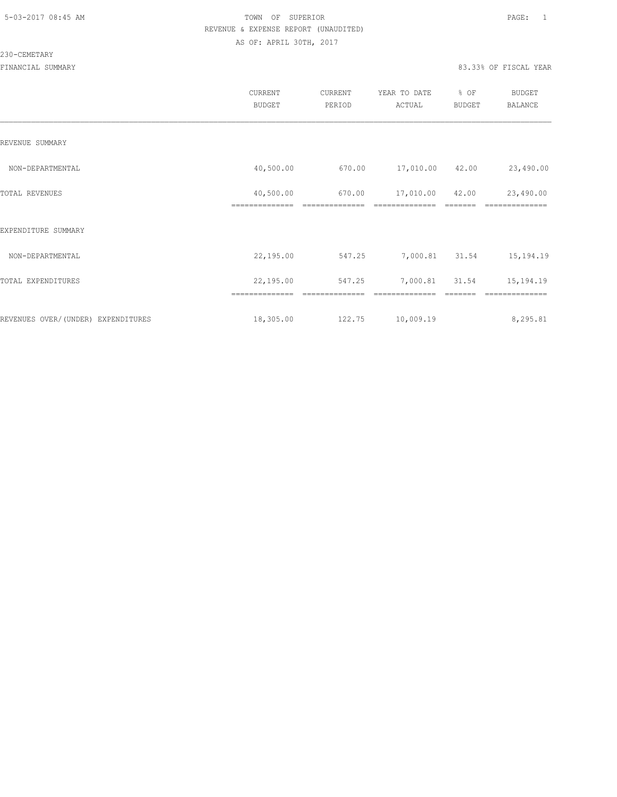#### 230-CEMETARY

|                                    | CURRENT<br><b>BUDGET</b>    | CURRENT<br>PERIOD | YEAR TO DATE<br>ACTUAL | % OF<br><b>BUDGET</b> | <b>BUDGET</b><br>BALANCE |
|------------------------------------|-----------------------------|-------------------|------------------------|-----------------------|--------------------------|
| REVENUE SUMMARY                    |                             |                   |                        |                       |                          |
| NON-DEPARTMENTAL                   | 40,500.00                   | 670.00            | 17,010.00              | 42.00                 | 23,490.00                |
| TOTAL REVENUES                     | 40,500.00<br>============== | 670.00            | 17,010.00              | 42.00                 | 23,490.00                |
| EXPENDITURE SUMMARY                |                             |                   |                        |                       |                          |
| NON-DEPARTMENTAL                   | 22,195.00                   | 547.25            | 7,000.81               | 31.54                 | 15,194.19                |
| TOTAL EXPENDITURES                 | 22,195.00                   | 547.25            | 7,000.81               | 31.54                 | 15,194.19                |
|                                    |                             |                   |                        |                       |                          |
| REVENUES OVER/(UNDER) EXPENDITURES | 18,305.00                   | 122.75            | 10,009.19              |                       | 8,295.81                 |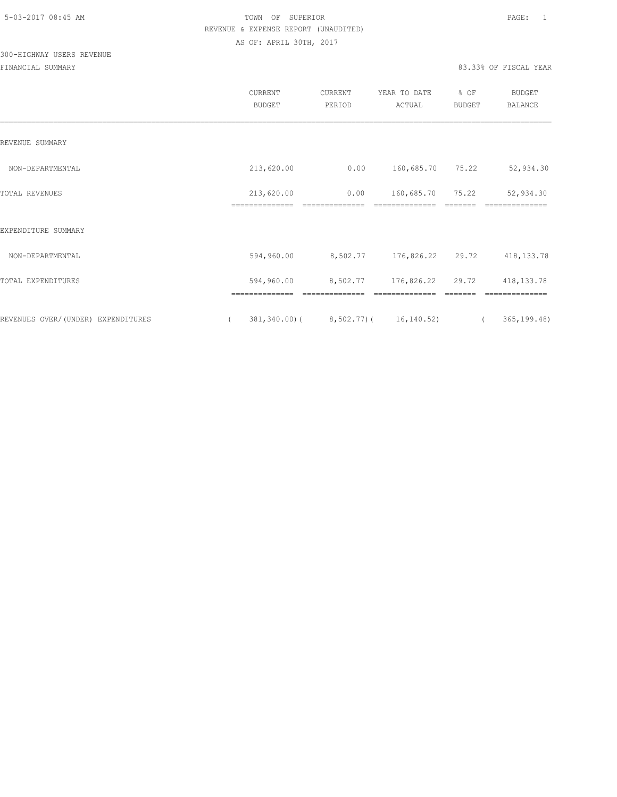## 300-HIGHWAY USERS REVENUE

|                                     | CURRENT<br><b>BUDGET</b>     | CURRENT<br>PERIOD | YEAR TO DATE<br>ACTUAL | % OF<br><b>BUDGET</b> | BUDGET<br>BALANCE         |
|-------------------------------------|------------------------------|-------------------|------------------------|-----------------------|---------------------------|
| REVENUE SUMMARY                     |                              |                   |                        |                       |                           |
| NON-DEPARTMENTAL                    | 213,620.00                   | 0.00              | 160,685.70 75.22       |                       | 52,934.30                 |
| TOTAL REVENUES                      | 213,620.00<br>============== | 0.00              | 160,685.70             | 75.22                 | 52,934.30                 |
| EXPENDITURE SUMMARY                 |                              |                   |                        |                       |                           |
| NON-DEPARTMENTAL                    | 594,960.00                   | 8,502.77          | 176,826.22 29.72       |                       | 418, 133. 78              |
| TOTAL EXPENDITURES                  | 594,960.00                   | 8,502.77          | 176,826.22             | 29.72                 | 418, 133. 78              |
| REVENUES OVER/ (UNDER) EXPENDITURES | $381, 340.00$ (              |                   | 8,502.77) ( 16,140.52) |                       | 365, 199.48<br>$\sqrt{2}$ |
|                                     |                              |                   |                        |                       |                           |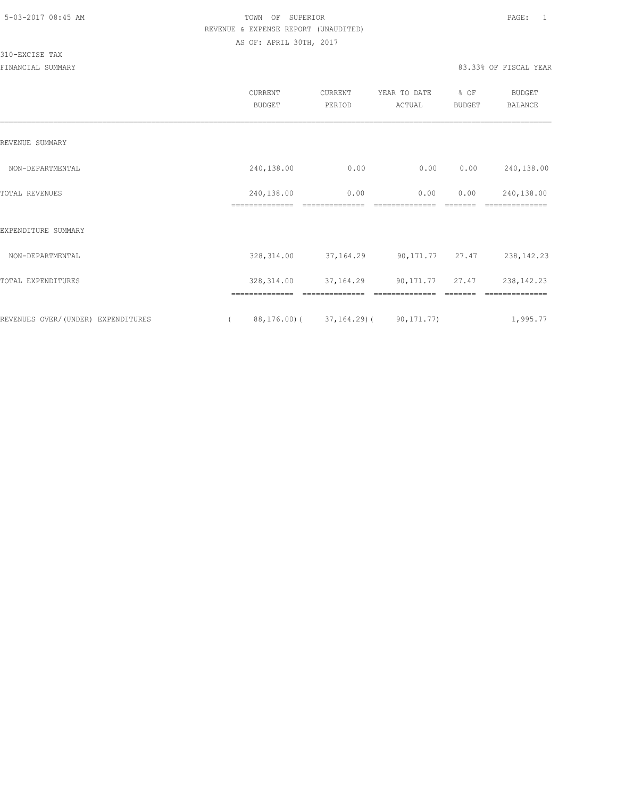310-EXCISE TAX

|                                    |          | <b>CURRENT</b><br><b>BUDGET</b> | <b>CURRENT</b><br>PERIOD | YEAR TO DATE<br>ACTUAL         | % OF<br><b>BUDGET</b> | <b>BUDGET</b><br><b>BALANCE</b> |
|------------------------------------|----------|---------------------------------|--------------------------|--------------------------------|-----------------------|---------------------------------|
| REVENUE SUMMARY                    |          |                                 |                          |                                |                       |                                 |
| NON-DEPARTMENTAL                   |          | 240,138.00                      | 0.00                     | 0.00                           | 0.00                  | 240,138.00                      |
| TOTAL REVENUES                     |          | 240,138.00                      | 0.00                     | 0.00                           | 0.00                  | 240,138.00                      |
| EXPENDITURE SUMMARY                |          |                                 |                          |                                |                       |                                 |
| NON-DEPARTMENTAL                   |          | 328, 314.00                     |                          | 37, 164. 29 90, 171. 77 27. 47 |                       | 238, 142. 23                    |
| TOTAL EXPENDITURES                 |          | 328, 314.00                     | 37,164.29                | 90, 171. 77 27. 47             |                       | 238, 142. 23                    |
|                                    |          | ==============                  | ==============           | ==============                 |                       | ==============                  |
| REVENUES OVER/(UNDER) EXPENDITURES | $\left($ | 88,176.00)(                     |                          | $37, 164.29$ (90, 171.77)      |                       | 1,995.77                        |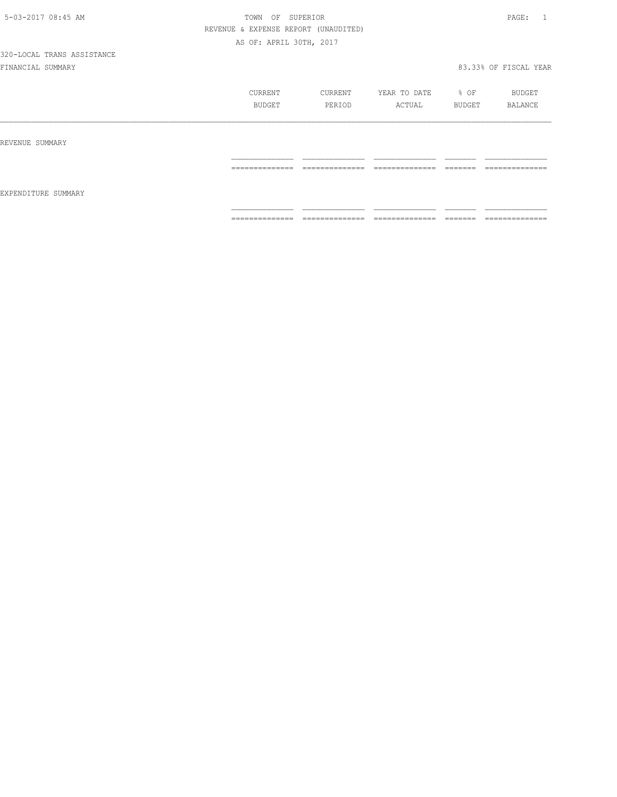|                     | CURRENT<br><b>BUDGET</b>          | CURRENT<br>PERIOD                 | YEAR TO DATE<br>ACTUAL            | % OF<br>BUDGET      | BUDGET<br>BALANCE                  |
|---------------------|-----------------------------------|-----------------------------------|-----------------------------------|---------------------|------------------------------------|
| REVENUE SUMMARY     |                                   |                                   |                                   |                     |                                    |
|                     | ______________<br>--------------- | ______________<br>--------------- | ______________<br>--------------- | --------<br>------- | ______________<br>---------------- |
| EXPENDITURE SUMMARY |                                   |                                   |                                   |                     |                                    |
|                     | ==============                    | --------------<br>.               | ==============                    | -------<br>________ | ==============                     |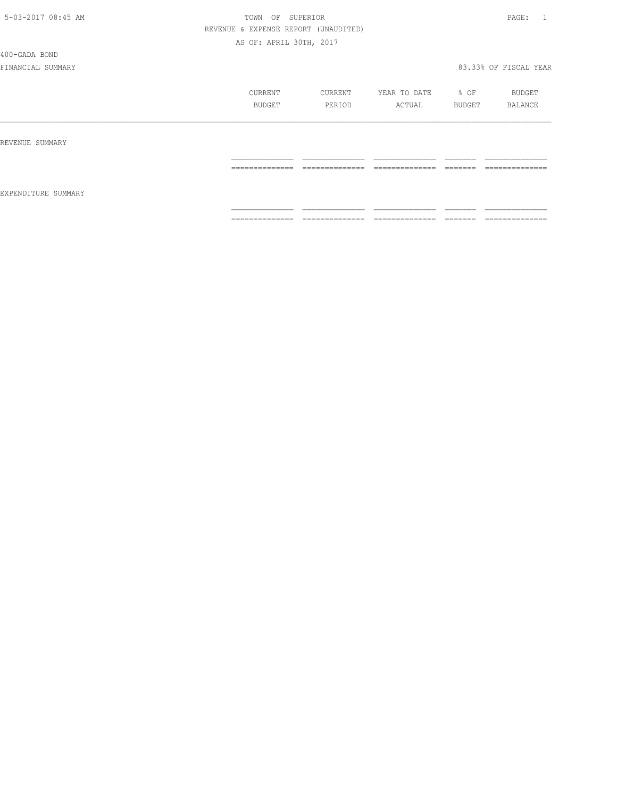#### 400-GADA BOND

|                     | CURRENT<br>BUDGET   | CURRENT<br>PERIOD   | YEAR TO DATE<br>ACTUAL | % OF<br>BUDGET      | BUDGET<br>BALANCE   |
|---------------------|---------------------|---------------------|------------------------|---------------------|---------------------|
| REVENUE SUMMARY     |                     |                     |                        |                     |                     |
|                     | ______________<br>. | ______________<br>. | ______________<br>.    | ________<br>------  | ______________<br>. |
| EXPENDITURE SUMMARY |                     |                     |                        |                     |                     |
|                     | ==============      | ______________<br>. | ______________<br>.    | ________<br>------- | --------------<br>. |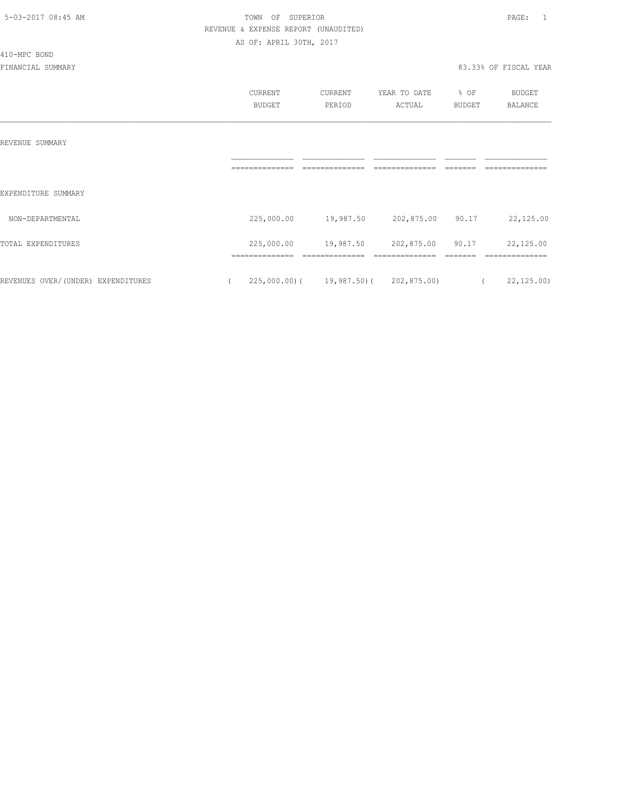410-MPC BOND

#### 5-03-2017 08:45 AM TOWN OF SUPERIOR PAGE: 1 REVENUE & EXPENSE REPORT (UNAUDITED) AS OF: APRIL 30TH, 2017

|                                    | CURRENT    | CURRENT                                 | YEAR TO DATE | % OF           | BUDGET         |
|------------------------------------|------------|-----------------------------------------|--------------|----------------|----------------|
|                                    | BUDGET     | PERIOD                                  | ACTUAL       | BUDGET         | <b>BALANCE</b> |
|                                    |            |                                         |              |                |                |
|                                    |            |                                         |              |                |                |
| REVENUE SUMMARY                    |            |                                         |              |                |                |
|                                    |            |                                         |              |                |                |
|                                    |            |                                         |              |                |                |
| EXPENDITURE SUMMARY                |            |                                         |              |                |                |
| NON-DEPARTMENTAL                   | 225,000.00 | 19,987.50                               | 202,875.00   | 90.17          | 22,125.00      |
|                                    |            |                                         |              |                |                |
| TOTAL EXPENDITURES                 | 225,000.00 | 19,987.50                               | 202,875.00   | 90.17          | 22,125.00      |
|                                    |            |                                         |              |                |                |
| REVENUES OVER/(UNDER) EXPENDITURES |            | $225,000.00$ ( 19,987.50) ( 202,875.00) |              | $\overline{a}$ | 22, 125.00     |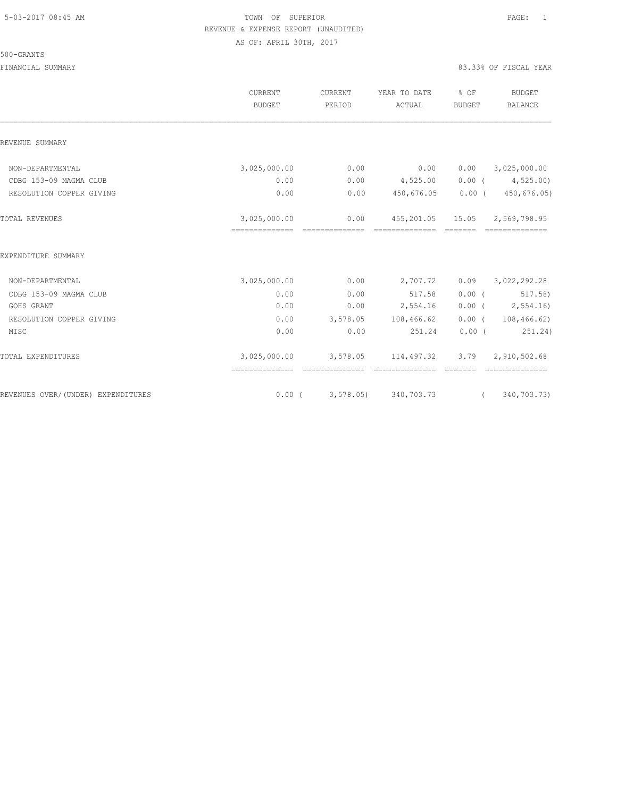#### 500-GRANTS

|                                    | <b>CURRENT</b><br><b>BUDGET</b>                 | CURRENT<br>PERIOD | YEAR TO DATE<br>ACTUAL                             | % OF<br>BUDGET | <b>BUDGET</b><br>BALANCE                |
|------------------------------------|-------------------------------------------------|-------------------|----------------------------------------------------|----------------|-----------------------------------------|
| REVENUE SUMMARY                    |                                                 |                   |                                                    |                |                                         |
| NON-DEPARTMENTAL                   | 3,025,000.00                                    | 0.00              | 0.00                                               | 0.00           | 3,025,000.00                            |
| CDBG 153-09 MAGMA CLUB             | 0.00                                            |                   | $0.00$ $4,525.00$                                  |                | $0.00$ ( $4,525.00$ )                   |
| RESOLUTION COPPER GIVING           | 0.00                                            | 0.00              | 450,676.05                                         |                | $0.00$ ( 450,676.05)                    |
| TOTAL REVENUES                     | 3,025,000.00<br>--------------- --------------- | 0.00              | 455,201.05 15.05 2,569,798.95<br>---------------   | _______        |                                         |
| EXPENDITURE SUMMARY                |                                                 |                   |                                                    |                |                                         |
| NON-DEPARTMENTAL                   | 3,025,000.00                                    | 0.00              | 2,707.72                                           |                | $0.09$ $3,022,292.28$                   |
| CDBG 153-09 MAGMA CLUB             | 0.00                                            | 0.00              | 517.58                                             |                | $0.00$ ( $517.58$ )                     |
| GOHS GRANT                         | 0.00                                            |                   | $0.00$ 2,554.16                                    |                | $0.00$ ( 2,554.16)                      |
| RESOLUTION COPPER GIVING           | 0.00                                            |                   | 3,578.05 108,466.62                                |                | $0.00$ ( 108,466.62)                    |
| MISC                               | 0.00                                            | 0.00              | 251.24                                             |                | $0.00$ ( $251.24$ )                     |
| TOTAL EXPENDITURES                 | ==============                                  |                   | 3,025,000.00 3,578.05 114,497.32<br>============== |                | $3.79$ $2,910,502.68$<br>============== |
| REVENUES OVER/(UNDER) EXPENDITURES |                                                 |                   | $0.00$ ( 3,578.05) 340,703.73                      |                | (340, 703, 73)                          |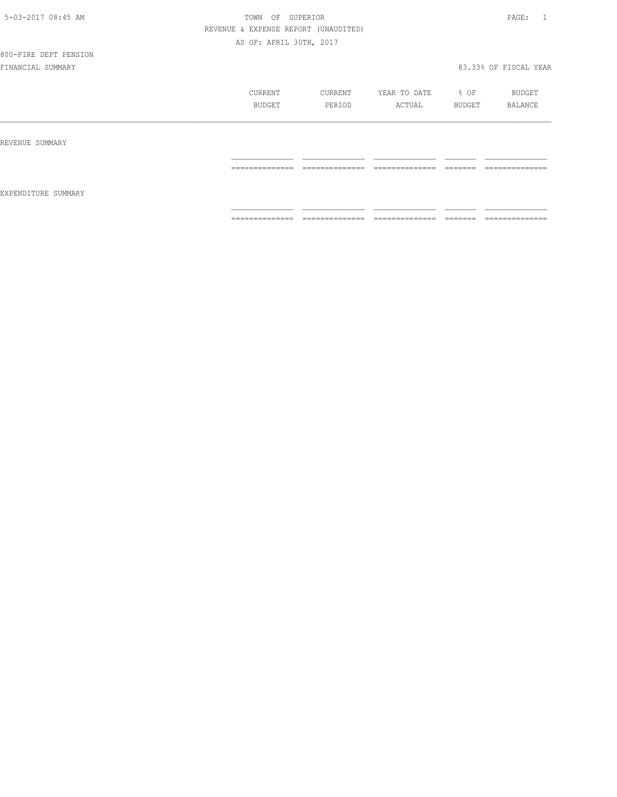## 800-FIRE DEPT PENSION

|                     | CURRENT<br>BUDGET                                                                                                                                                                                                                                                                                                                                                                                                                                                                      | CURRENT<br>PERIOD                 | YEAR TO DATE<br>ACTUAL            | % OF<br>BUDGET     | BUDGET<br>BALANCE                 |
|---------------------|----------------------------------------------------------------------------------------------------------------------------------------------------------------------------------------------------------------------------------------------------------------------------------------------------------------------------------------------------------------------------------------------------------------------------------------------------------------------------------------|-----------------------------------|-----------------------------------|--------------------|-----------------------------------|
| REVENUE SUMMARY     |                                                                                                                                                                                                                                                                                                                                                                                                                                                                                        |                                   |                                   |                    |                                   |
| EXPENDITURE SUMMARY | ==============                                                                                                                                                                                                                                                                                                                                                                                                                                                                         | --------------<br>.               | ---------------<br>-------------  | _______<br>______  | ______________<br>------------    |
|                     | $\begin{array}{cccccccccc} \multicolumn{2}{c}{} & \multicolumn{2}{c}{} & \multicolumn{2}{c}{} & \multicolumn{2}{c}{} & \multicolumn{2}{c}{} & \multicolumn{2}{c}{} & \multicolumn{2}{c}{} & \multicolumn{2}{c}{} & \multicolumn{2}{c}{} & \multicolumn{2}{c}{} & \multicolumn{2}{c}{} & \multicolumn{2}{c}{} & \multicolumn{2}{c}{} & \multicolumn{2}{c}{} & \multicolumn{2}{c}{} & \multicolumn{2}{c}{} & \multicolumn{2}{c}{} & \multicolumn{2}{c}{} & \multicolumn{2}{c}{} & \mult$ | ______________<br>--------------- | ______________<br>--------------- | ________<br>------ | ______________<br>--------------- |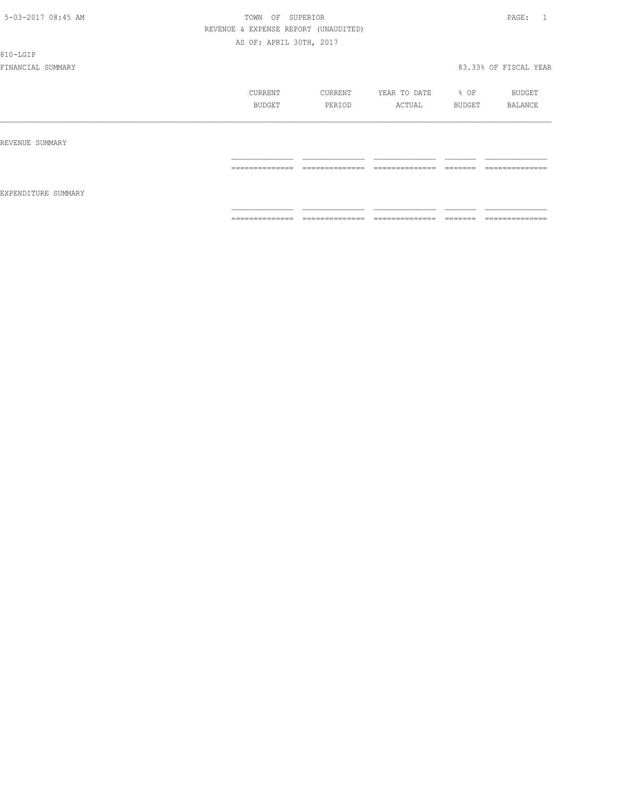810-LGIP

|                     | CURRENT<br>BUDGET                 | CURRENT<br>PERIOD                 | YEAR TO DATE<br>ACTUAL             | % OF<br>BUDGET      | BUDGET<br>BALANCE                 |
|---------------------|-----------------------------------|-----------------------------------|------------------------------------|---------------------|-----------------------------------|
| REVENUE SUMMARY     |                                   |                                   |                                    |                     |                                   |
|                     | ______________<br>--------------- | ______________<br>--------------- | ______________<br>_______________  | --------<br>------- | ______________<br>--------------- |
| EXPENDITURE SUMMARY |                                   |                                   |                                    |                     |                                   |
|                     | ==============                    | --------------<br>--------------- | ---------------<br>_______________ | -------<br>-------  | ==============                    |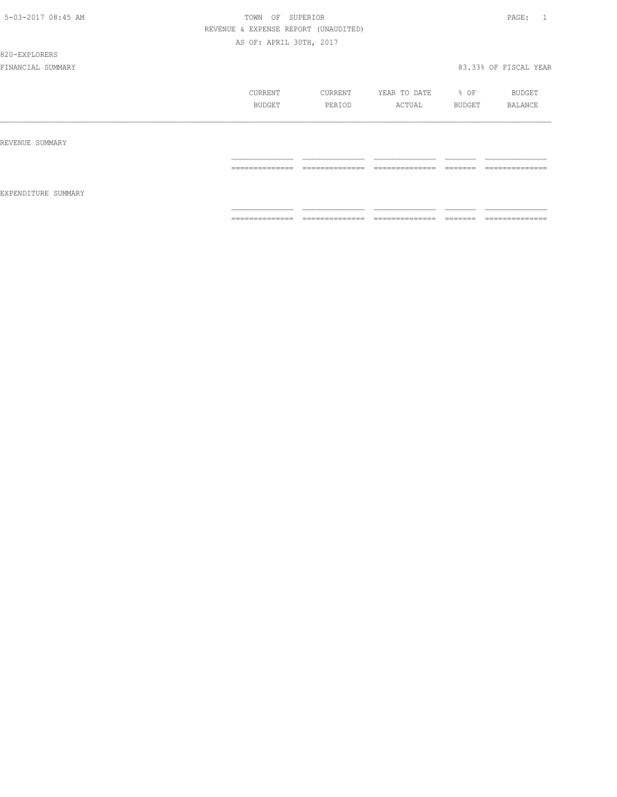820-EXPLORERS

|                     | CURRENT<br>BUDGET                                                                                                                                                                                                                                                                                                                                                                                                                                                                      | CURRENT<br>PERIOD                                                                                                                                                                                                                                                                                                                                                                                                                                             | YEAR TO DATE<br>ACTUAL                                                                                                                                                                                                                                                                                                                                                                                                                                                                 | % OF<br>BUDGET                                                                                                                                                                                                                                                                                                                                                                                                                                                                                                                                                    | BUDGET<br>BALANCE                                                                                                                                                                                                                                                                                                                                                                                                                                                                            |
|---------------------|----------------------------------------------------------------------------------------------------------------------------------------------------------------------------------------------------------------------------------------------------------------------------------------------------------------------------------------------------------------------------------------------------------------------------------------------------------------------------------------|---------------------------------------------------------------------------------------------------------------------------------------------------------------------------------------------------------------------------------------------------------------------------------------------------------------------------------------------------------------------------------------------------------------------------------------------------------------|----------------------------------------------------------------------------------------------------------------------------------------------------------------------------------------------------------------------------------------------------------------------------------------------------------------------------------------------------------------------------------------------------------------------------------------------------------------------------------------|-------------------------------------------------------------------------------------------------------------------------------------------------------------------------------------------------------------------------------------------------------------------------------------------------------------------------------------------------------------------------------------------------------------------------------------------------------------------------------------------------------------------------------------------------------------------|----------------------------------------------------------------------------------------------------------------------------------------------------------------------------------------------------------------------------------------------------------------------------------------------------------------------------------------------------------------------------------------------------------------------------------------------------------------------------------------------|
| REVENUE SUMMARY     |                                                                                                                                                                                                                                                                                                                                                                                                                                                                                        |                                                                                                                                                                                                                                                                                                                                                                                                                                                               |                                                                                                                                                                                                                                                                                                                                                                                                                                                                                        |                                                                                                                                                                                                                                                                                                                                                                                                                                                                                                                                                                   |                                                                                                                                                                                                                                                                                                                                                                                                                                                                                              |
|                     | $\begin{array}{cccccccccc} \multicolumn{2}{c}{} & \multicolumn{2}{c}{} & \multicolumn{2}{c}{} & \multicolumn{2}{c}{} & \multicolumn{2}{c}{} & \multicolumn{2}{c}{} & \multicolumn{2}{c}{} & \multicolumn{2}{c}{} & \multicolumn{2}{c}{} & \multicolumn{2}{c}{} & \multicolumn{2}{c}{} & \multicolumn{2}{c}{} & \multicolumn{2}{c}{} & \multicolumn{2}{c}{} & \multicolumn{2}{c}{} & \multicolumn{2}{c}{} & \multicolumn{2}{c}{} & \multicolumn{2}{c}{} & \multicolumn{2}{c}{} & \mult$ | $\begin{array}{c} \multicolumn{2}{c} {\textbf{2.5}} \multicolumn{2}{c} {\textbf{2.5}} \multicolumn{2}{c} {\textbf{2.5}} \multicolumn{2}{c} {\textbf{2.5}} \multicolumn{2}{c} {\textbf{2.5}} \multicolumn{2}{c} {\textbf{2.5}} \multicolumn{2}{c} {\textbf{2.5}} \multicolumn{2}{c} {\textbf{2.5}} \multicolumn{2}{c} {\textbf{2.5}} \multicolumn{2}{c} {\textbf{2.5}} \multicolumn{2}{c} {\textbf{2.5}} \multicolumn{2}{c} {\textbf{2.5}} \multicolumn{2}{c}$ | $\begin{array}{cccccccccc} \multicolumn{2}{c}{} & \multicolumn{2}{c}{} & \multicolumn{2}{c}{} & \multicolumn{2}{c}{} & \multicolumn{2}{c}{} & \multicolumn{2}{c}{} & \multicolumn{2}{c}{} & \multicolumn{2}{c}{} & \multicolumn{2}{c}{} & \multicolumn{2}{c}{} & \multicolumn{2}{c}{} & \multicolumn{2}{c}{} & \multicolumn{2}{c}{} & \multicolumn{2}{c}{} & \multicolumn{2}{c}{} & \multicolumn{2}{c}{} & \multicolumn{2}{c}{} & \multicolumn{2}{c}{} & \multicolumn{2}{c}{} & \mult$ | -------<br>________                                                                                                                                                                                                                                                                                                                                                                                                                                                                                                                                               | $\begin{array}{c} \multicolumn{2}{c} {\textbf{1}} & \multicolumn{2}{c} {\textbf{2}} & \multicolumn{2}{c} {\textbf{3}} & \multicolumn{2}{c} {\textbf{4}} \\ \multicolumn{2}{c} {\textbf{2}} & \multicolumn{2}{c} {\textbf{3}} & \multicolumn{2}{c} {\textbf{4}} & \multicolumn{2}{c} {\textbf{5}} & \multicolumn{2}{c} {\textbf{6}} \\ \multicolumn{2}{c} {\textbf{4}} & \multicolumn{2}{c} {\textbf{5}} & \multicolumn{2}{c} {\textbf{6}} & \multicolumn{2}{c} {\textbf{6}} & \multicolumn{$ |
| EXPENDITURE SUMMARY |                                                                                                                                                                                                                                                                                                                                                                                                                                                                                        |                                                                                                                                                                                                                                                                                                                                                                                                                                                               |                                                                                                                                                                                                                                                                                                                                                                                                                                                                                        |                                                                                                                                                                                                                                                                                                                                                                                                                                                                                                                                                                   |                                                                                                                                                                                                                                                                                                                                                                                                                                                                                              |
|                     | $\begin{array}{cccccccccc} \multicolumn{2}{c}{} & \multicolumn{2}{c}{} & \multicolumn{2}{c}{} & \multicolumn{2}{c}{} & \multicolumn{2}{c}{} & \multicolumn{2}{c}{} & \multicolumn{2}{c}{} & \multicolumn{2}{c}{} & \multicolumn{2}{c}{} & \multicolumn{2}{c}{} & \multicolumn{2}{c}{} & \multicolumn{2}{c}{} & \multicolumn{2}{c}{} & \multicolumn{2}{c}{} & \multicolumn{2}{c}{} & \multicolumn{2}{c}{} & \multicolumn{2}{c}{} & \multicolumn{2}{c}{} & \multicolumn{2}{c}{} & \mult$ | ______________<br>---------------                                                                                                                                                                                                                                                                                                                                                                                                                             | $\begin{array}{cccccccccc} \multicolumn{2}{c}{} & \multicolumn{2}{c}{} & \multicolumn{2}{c}{} & \multicolumn{2}{c}{} & \multicolumn{2}{c}{} & \multicolumn{2}{c}{} & \multicolumn{2}{c}{} & \multicolumn{2}{c}{} & \multicolumn{2}{c}{} & \multicolumn{2}{c}{} & \multicolumn{2}{c}{} & \multicolumn{2}{c}{} & \multicolumn{2}{c}{} & \multicolumn{2}{c}{} & \multicolumn{2}{c}{} & \multicolumn{2}{c}{} & \multicolumn{2}{c}{} & \multicolumn{2}{c}{} & \multicolumn{2}{c}{} & \mult$ | $\begin{array}{c} \begin{array}{c} \begin{array}{c} \begin{array}{c} \begin{array}{c} \end{array}\\ \end{array}\\ \end{array} \end{array} \end{array} \end{array} \end{array} \end{array} \end{array} \begin{array}{c} \begin{array}{c} \begin{array}{c} \begin{array}{c} \end{array}\\ \end{array} \end{array} \end{array} \end{array} \begin{array}{c} \begin{array}{c} \begin{array}{c} \end{array}\\ \end{array} \end{array} \end{array} \begin{array}{c} \begin{array}{c} \begin{array}{c} \end{array}\\ \end{array} \end{array} \end{array} \begin{array}{$ | _______________<br>----------------                                                                                                                                                                                                                                                                                                                                                                                                                                                          |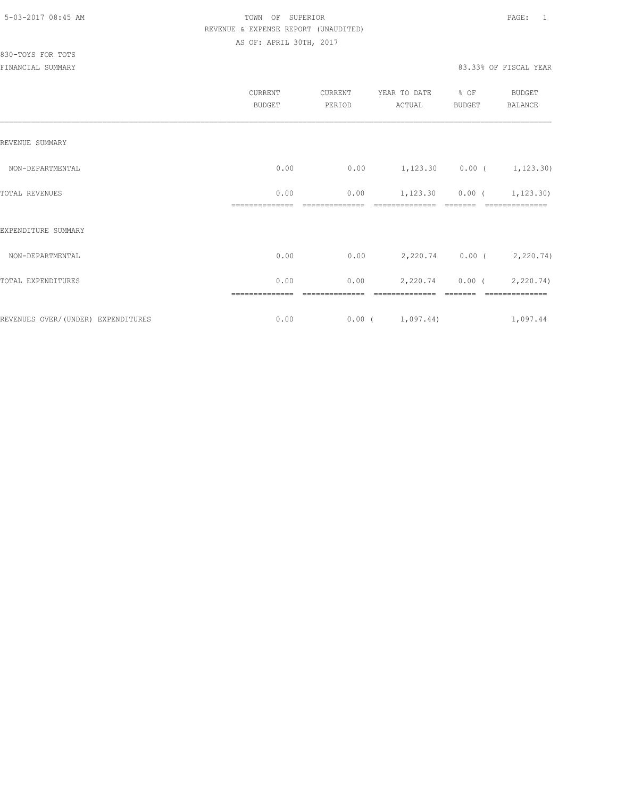# 830-TOYS FOR TOTS

|                                     | CURRENT<br><b>BUDGET</b> | CURRENT<br>PERIOD | YEAR TO DATE<br>ACTUAL | % OF<br><b>BUDGET</b> | BUDGET<br><b>BALANCE</b>    |
|-------------------------------------|--------------------------|-------------------|------------------------|-----------------------|-----------------------------|
| REVENUE SUMMARY                     |                          |                   |                        |                       |                             |
| NON-DEPARTMENTAL                    | 0.00                     | 0.00              |                        |                       | $1,123.30$ 0.00 ( 1,123.30) |
| TOTAL REVENUES                      | 0.00                     | 0.00              | 1,123.30               | 0.00(                 | 1,123.30)                   |
| EXPENDITURE SUMMARY                 |                          |                   |                        |                       |                             |
| NON-DEPARTMENTAL                    | 0.00                     | 0.00              |                        |                       | 2,220.74 0.00 ( 2,220.74)   |
| TOTAL EXPENDITURES                  | 0.00                     | 0.00              | 2,220.74               | $0.00$ (              | 2,220.74)                   |
|                                     | ==============           |                   |                        |                       | ==============              |
| REVENUES OVER/ (UNDER) EXPENDITURES | 0.00                     |                   | 0.00(1,097.44)         |                       | 1,097.44                    |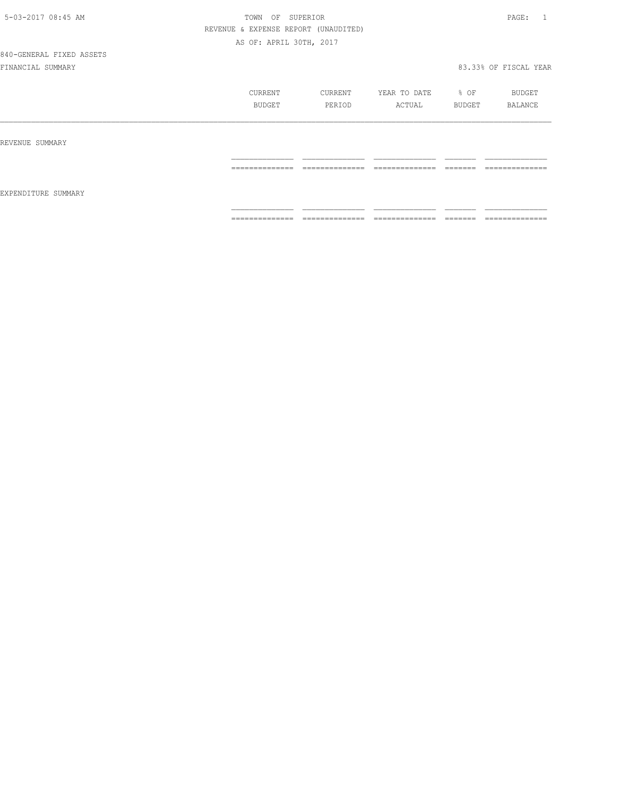# 840-GENERAL FIXED ASSETS

|                     | CURRENT<br>BUDGET   | CURRENT<br>PERIOD                 | YEAR TO DATE<br>ACTUAL           | % OF<br>BUDGET      | BUDGET<br>BALANCE               |
|---------------------|---------------------|-----------------------------------|----------------------------------|---------------------|---------------------------------|
| REVENUE SUMMARY     |                     |                                   |                                  |                     |                                 |
| EXPENDITURE SUMMARY | ==============      | --------------<br>.               | ---------------<br>------------- | --------<br>_______ | ______________<br>------------  |
|                     | --------------<br>. | ______________<br>_______________ | ______________<br>______________ | --------<br>_______ | --------------<br>------------- |